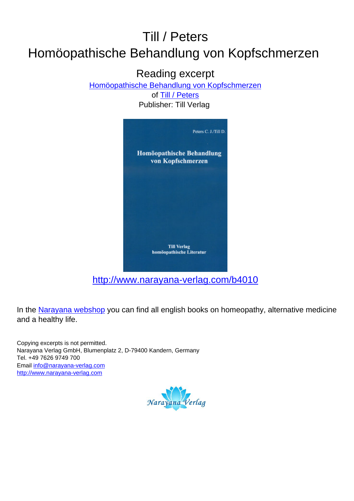## Till / Peters Homöopathische Behandlung von Kopfschmerzen

Reading excerpt

[Homöopathische Behandlung von Kopfschmerzen](http://www.narayana-verlag.com/Homoeopathische-Behandlung-von-Kopfschmerzen-Dieter-Till-John-C-Peters/b4010/partner/leseprobe)

of [Till / Peters](http://www.narayana-verlag.com/Till-Peters/a1434/partner/leseprobe) Publisher: Till Verlag



[http://www.narayana-verlag.com/b4010](http://www.narayana-verlag.com/Homoeopathische-Behandlung-von-Kopfschmerzen-Dieter-Till-John-C-Peters/b4010/partner/leseprobe)

In the [Narayana webshop](http://www.narayana-verlag.com/partner/leseprobe) you can find all english books on homeopathy, alternative medicine and a healthy life.

Copying excerpts is not permitted. Narayana Verlag GmbH, Blumenplatz 2, D-79400 Kandern, Germany Tel. +49 7626 9749 700 Email [info@narayana-verlag.com](mailto:info@narayana-verlag.com) [http://www.narayana-verlag.com](http://www.narayana-verlag.com/partner/leseprobe)

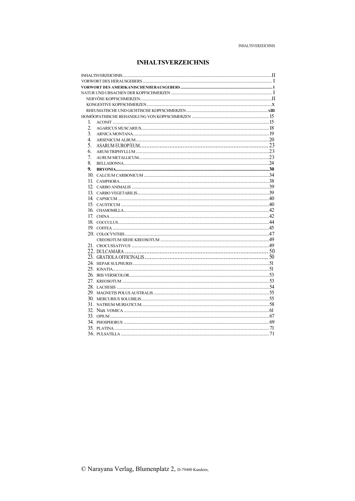## **INHALTSVERZEICHNIS**

| 1.               |  |  |  |
|------------------|--|--|--|
| $\overline{2}$   |  |  |  |
| $\overline{3}$ . |  |  |  |
| 4                |  |  |  |
| 5.               |  |  |  |
| 6.               |  |  |  |
| 7.               |  |  |  |
| 8.               |  |  |  |
| 9.               |  |  |  |
|                  |  |  |  |
|                  |  |  |  |
|                  |  |  |  |
|                  |  |  |  |
|                  |  |  |  |
|                  |  |  |  |
|                  |  |  |  |
|                  |  |  |  |
|                  |  |  |  |
|                  |  |  |  |
|                  |  |  |  |
|                  |  |  |  |
|                  |  |  |  |
|                  |  |  |  |
|                  |  |  |  |
|                  |  |  |  |
|                  |  |  |  |
|                  |  |  |  |
|                  |  |  |  |
|                  |  |  |  |
|                  |  |  |  |
|                  |  |  |  |
|                  |  |  |  |
|                  |  |  |  |
|                  |  |  |  |
|                  |  |  |  |
|                  |  |  |  |
|                  |  |  |  |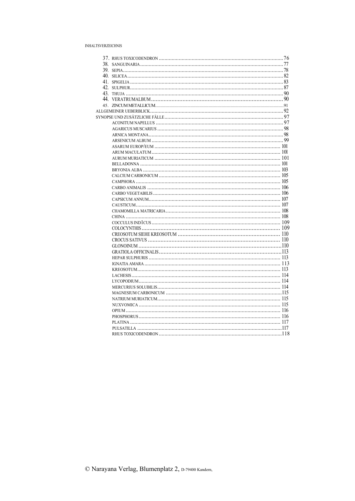## **INHALTSVERZEICHNIS**

| PHOSPHORUS (16) |  |
|-----------------|--|
|                 |  |
|                 |  |
|                 |  |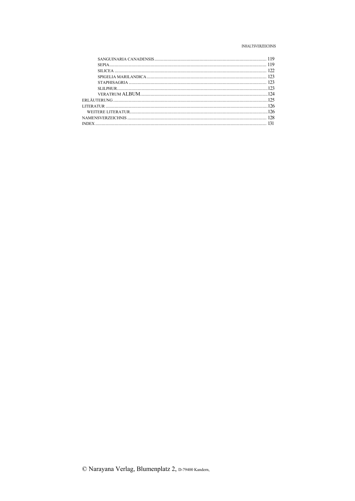## **INHALTSVERZEICHNIS**